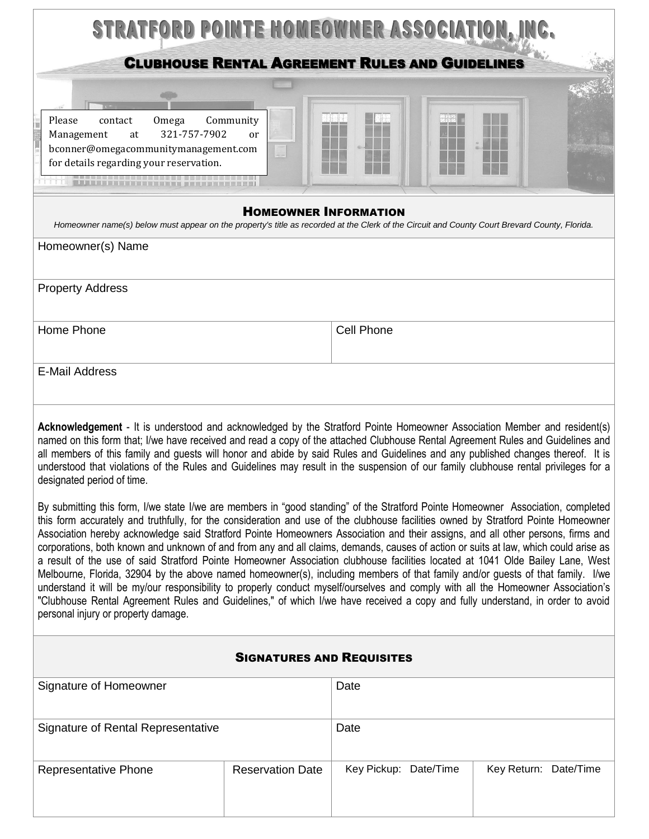| STRATFORD POINTE HOMEOWNER ASSOCIATION, INC.                                                                                                                                                                                                                                                                                                                                                                                                                                                                                                                                                                                                                                                                                                                                                                                                                                                                                                                                                                                                                                                                                      |                            |                       |  |                       |
|-----------------------------------------------------------------------------------------------------------------------------------------------------------------------------------------------------------------------------------------------------------------------------------------------------------------------------------------------------------------------------------------------------------------------------------------------------------------------------------------------------------------------------------------------------------------------------------------------------------------------------------------------------------------------------------------------------------------------------------------------------------------------------------------------------------------------------------------------------------------------------------------------------------------------------------------------------------------------------------------------------------------------------------------------------------------------------------------------------------------------------------|----------------------------|-----------------------|--|-----------------------|
| <b>CLUBHOUSE RENTAL AGREEMENT RULES AND GUIDELINES</b>                                                                                                                                                                                                                                                                                                                                                                                                                                                                                                                                                                                                                                                                                                                                                                                                                                                                                                                                                                                                                                                                            |                            |                       |  |                       |
| Please<br>Omega<br>contact<br>321-757-7902<br>Management<br>at<br>bconner@omegacommunitymanagement.com<br>for details regarding your reservation.                                                                                                                                                                                                                                                                                                                                                                                                                                                                                                                                                                                                                                                                                                                                                                                                                                                                                                                                                                                 | Community<br><sub>or</sub> |                       |  |                       |
| <b>HOMEOWNER INFORMATION</b><br>Homeowner name(s) below must appear on the property's title as recorded at the Clerk of the Circuit and County Court Brevard County, Florida.                                                                                                                                                                                                                                                                                                                                                                                                                                                                                                                                                                                                                                                                                                                                                                                                                                                                                                                                                     |                            |                       |  |                       |
| Homeowner(s) Name                                                                                                                                                                                                                                                                                                                                                                                                                                                                                                                                                                                                                                                                                                                                                                                                                                                                                                                                                                                                                                                                                                                 |                            |                       |  |                       |
| <b>Property Address</b>                                                                                                                                                                                                                                                                                                                                                                                                                                                                                                                                                                                                                                                                                                                                                                                                                                                                                                                                                                                                                                                                                                           |                            |                       |  |                       |
| Home Phone                                                                                                                                                                                                                                                                                                                                                                                                                                                                                                                                                                                                                                                                                                                                                                                                                                                                                                                                                                                                                                                                                                                        | Cell Phone                 |                       |  |                       |
| <b>E-Mail Address</b>                                                                                                                                                                                                                                                                                                                                                                                                                                                                                                                                                                                                                                                                                                                                                                                                                                                                                                                                                                                                                                                                                                             |                            |                       |  |                       |
| Acknowledgement - It is understood and acknowledged by the Stratford Pointe Homeowner Association Member and resident(s)<br>named on this form that; I/we have received and read a copy of the attached Clubhouse Rental Agreement Rules and Guidelines and<br>all members of this family and guests will honor and abide by said Rules and Guidelines and any published changes thereof. It is<br>understood that violations of the Rules and Guidelines may result in the suspension of our family clubhouse rental privileges for a<br>designated period of time.                                                                                                                                                                                                                                                                                                                                                                                                                                                                                                                                                              |                            |                       |  |                       |
| By submitting this form, I/we state I/we are members in "good standing" of the Stratford Pointe Homeowner Association, completed<br>this form accurately and truthfully, for the consideration and use of the clubhouse facilities owned by Stratford Pointe Homeowner<br>Association hereby acknowledge said Stratford Pointe Homeowners Association and their assigns, and all other persons, firms and<br>corporations, both known and unknown of and from any and all claims, demands, causes of action or suits at law, which could arise as<br>a result of the use of said Stratford Pointe Homeowner Association clubhouse facilities located at 1041 Olde Bailey Lane, West<br>Melbourne, Florida, 32904 by the above named homeowner(s), including members of that family and/or guests of that family. I/we<br>understand it will be my/our responsibility to properly conduct myself/ourselves and comply with all the Homeowner Association's<br>"Clubhouse Rental Agreement Rules and Guidelines," of which I/we have received a copy and fully understand, in order to avoid<br>personal injury or property damage. |                            |                       |  |                       |
| <b>SIGNATURES AND REQUISITES</b>                                                                                                                                                                                                                                                                                                                                                                                                                                                                                                                                                                                                                                                                                                                                                                                                                                                                                                                                                                                                                                                                                                  |                            |                       |  |                       |
| Signature of Homeowner                                                                                                                                                                                                                                                                                                                                                                                                                                                                                                                                                                                                                                                                                                                                                                                                                                                                                                                                                                                                                                                                                                            |                            | Date                  |  |                       |
| Signature of Rental Representative                                                                                                                                                                                                                                                                                                                                                                                                                                                                                                                                                                                                                                                                                                                                                                                                                                                                                                                                                                                                                                                                                                |                            | Date                  |  |                       |
| Representative Phone                                                                                                                                                                                                                                                                                                                                                                                                                                                                                                                                                                                                                                                                                                                                                                                                                                                                                                                                                                                                                                                                                                              | <b>Reservation Date</b>    | Key Pickup: Date/Time |  | Key Return: Date/Time |